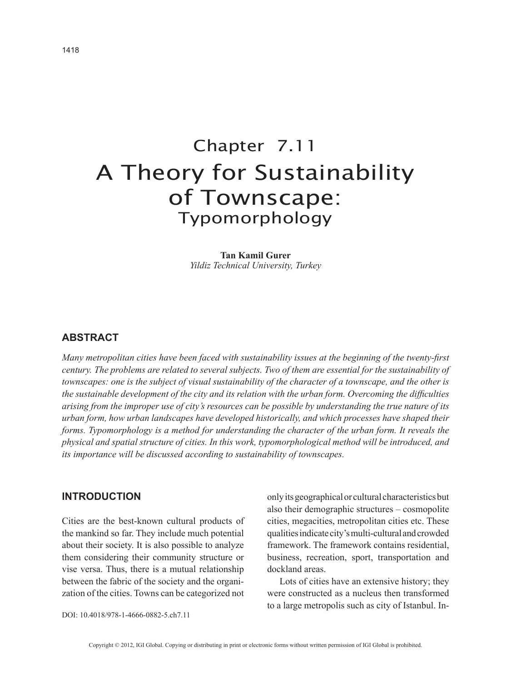# Chapter 7.11 A Theory for Sustainability of Townscape: Typomorphology

**Tan Kamil Gurer** *Yildiz Technical University, Turkey*

# **ABSTRACT**

*Many metropolitan cities have been faced with sustainability issues at the beginning of the twenty-first century. The problems are related to several subjects. Two of them are essential for the sustainability of townscapes: one is the subject of visual sustainability of the character of a townscape, and the other is the sustainable development of the city and its relation with the urban form. Overcoming the difficulties arising from the improper use of city's resources can be possible by understanding the true nature of its urban form, how urban landscapes have developed historically, and which processes have shaped their forms. Typomorphology is a method for understanding the character of the urban form. It reveals the physical and spatial structure of cities. In this work, typomorphological method will be introduced, and its importance will be discussed according to sustainability of townscapes.*

# **INTRODUCTION**

Cities are the best-known cultural products of the mankind so far. They include much potential about their society. It is also possible to analyze them considering their community structure or vise versa. Thus, there is a mutual relationship between the fabric of the society and the organization of the cities. Towns can be categorized not only its geographical or cultural characteristics but also their demographic structures – cosmopolite cities, megacities, metropolitan cities etc. These qualities indicate city's multi-cultural and crowded framework. The framework contains residential, business, recreation, sport, transportation and dockland areas.

Lots of cities have an extensive history; they were constructed as a nucleus then transformed to a large metropolis such as city of Istanbul. In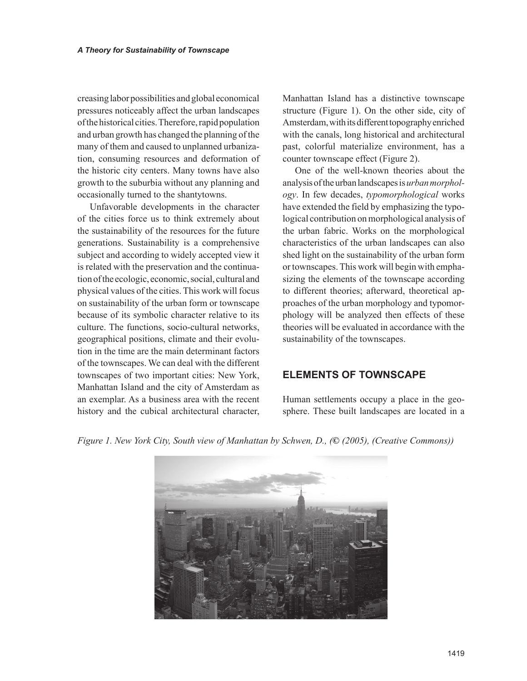creasing labor possibilities and global economical pressures noticeably affect the urban landscapes of the historical cities. Therefore, rapid population and urban growth has changed the planning of the many of them and caused to unplanned urbanization, consuming resources and deformation of the historic city centers. Many towns have also growth to the suburbia without any planning and occasionally turned to the shantytowns.

Unfavorable developments in the character of the cities force us to think extremely about the sustainability of the resources for the future generations. Sustainability is a comprehensive subject and according to widely accepted view it is related with the preservation and the continuation of the ecologic, economic, social, cultural and physical values of the cities. This work will focus on sustainability of the urban form or townscape because of its symbolic character relative to its culture. The functions, socio-cultural networks, geographical positions, climate and their evolution in the time are the main determinant factors of the townscapes. We can deal with the different townscapes of two important cities: New York, Manhattan Island and the city of Amsterdam as an exemplar. As a business area with the recent history and the cubical architectural character,

Manhattan Island has a distinctive townscape structure (Figure 1). On the other side, city of Amsterdam, with its different topography enriched with the canals, long historical and architectural past, colorful materialize environment, has a counter townscape effect (Figure 2).

One of the well-known theories about the analysis of the urban landscapes is *urban morphology*. In few decades, *typomorphological* works have extended the field by emphasizing the typological contribution on morphological analysis of the urban fabric. Works on the morphological characteristics of the urban landscapes can also shed light on the sustainability of the urban form or townscapes. This work will begin with emphasizing the elements of the townscape according to different theories; afterward, theoretical approaches of the urban morphology and typomorphology will be analyzed then effects of these theories will be evaluated in accordance with the sustainability of the townscapes.

# **ELEMENTS OF TOWNSCAPE**

Human settlements occupy a place in the geosphere. These built landscapes are located in a

*Figure 1. New York City, South view of Manhattan by Schwen, D., (***©** *(2005), (Creative Commons))*